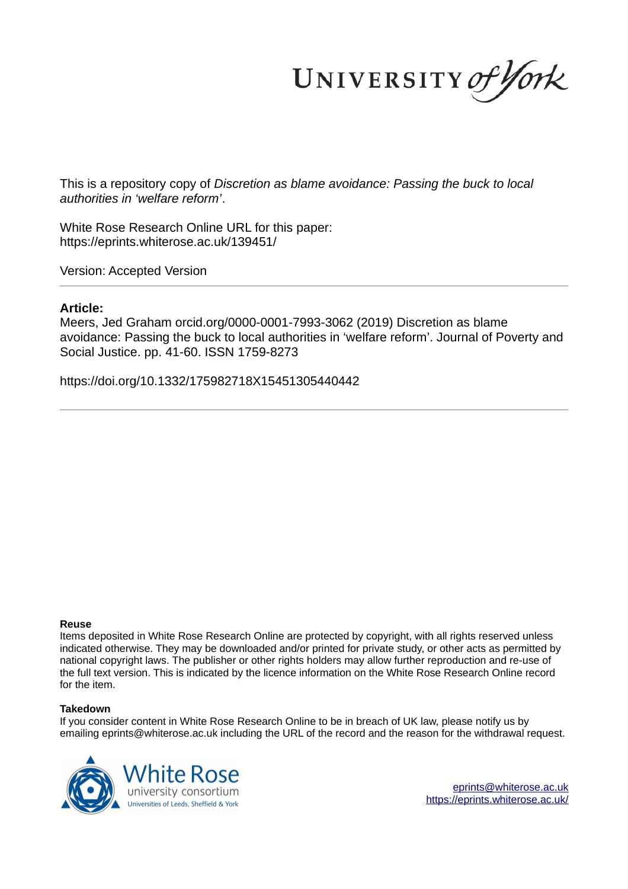UNIVERSITY of York

This is a repository copy of *Discretion as blame avoidance: Passing the buck to local authorities in 'welfare reform'*.

White Rose Research Online URL for this paper: https://eprints.whiterose.ac.uk/139451/

Version: Accepted Version

#### **Article:**

Meers, Jed Graham orcid.org/0000-0001-7993-3062 (2019) Discretion as blame avoidance: Passing the buck to local authorities in 'welfare reform'. Journal of Poverty and Social Justice. pp. 41-60. ISSN 1759-8273

https://doi.org/10.1332/175982718X15451305440442

#### **Reuse**

Items deposited in White Rose Research Online are protected by copyright, with all rights reserved unless indicated otherwise. They may be downloaded and/or printed for private study, or other acts as permitted by national copyright laws. The publisher or other rights holders may allow further reproduction and re-use of the full text version. This is indicated by the licence information on the White Rose Research Online record for the item.

#### **Takedown**

If you consider content in White Rose Research Online to be in breach of UK law, please notify us by emailing eprints@whiterose.ac.uk including the URL of the record and the reason for the withdrawal request.



eprints@whiterose.ac.uk https://eprints.whiterose.ac.uk/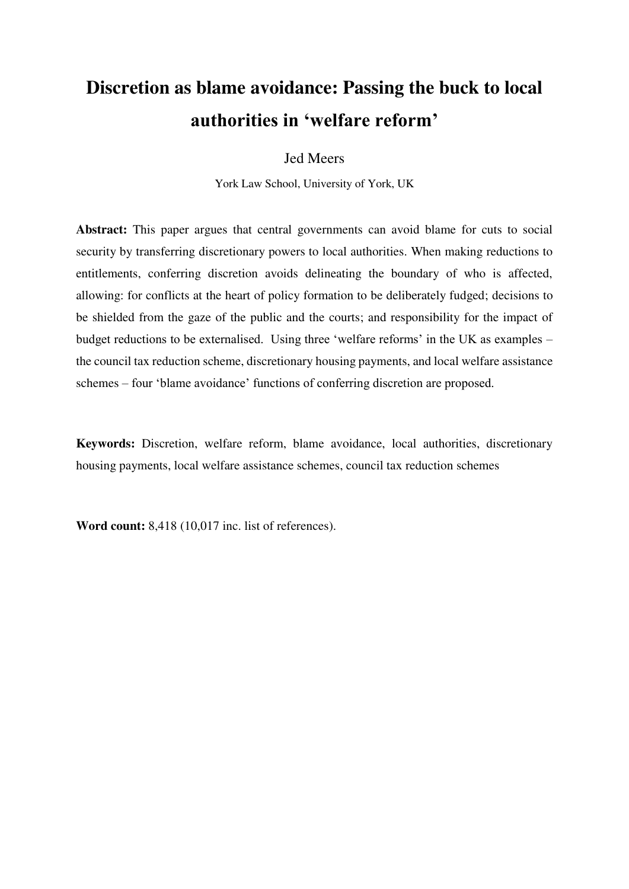# **Discretion as blame avoidance: Passing the buck to local authorities in 'welfare reform'**

# Jed Meers

York Law School, University of York, UK

**Abstract:** This paper argues that central governments can avoid blame for cuts to social security by transferring discretionary powers to local authorities. When making reductions to entitlements, conferring discretion avoids delineating the boundary of who is affected, allowing: for conflicts at the heart of policy formation to be deliberately fudged; decisions to be shielded from the gaze of the public and the courts; and responsibility for the impact of budget reductions to be externalised. Using three 'welfare reforms' in the UK as examples – the council tax reduction scheme, discretionary housing payments, and local welfare assistance schemes – four 'blame avoidance' functions of conferring discretion are proposed.

**Keywords:** Discretion, welfare reform, blame avoidance, local authorities, discretionary housing payments, local welfare assistance schemes, council tax reduction schemes

**Word count:** 8,418 (10,017 inc. list of references).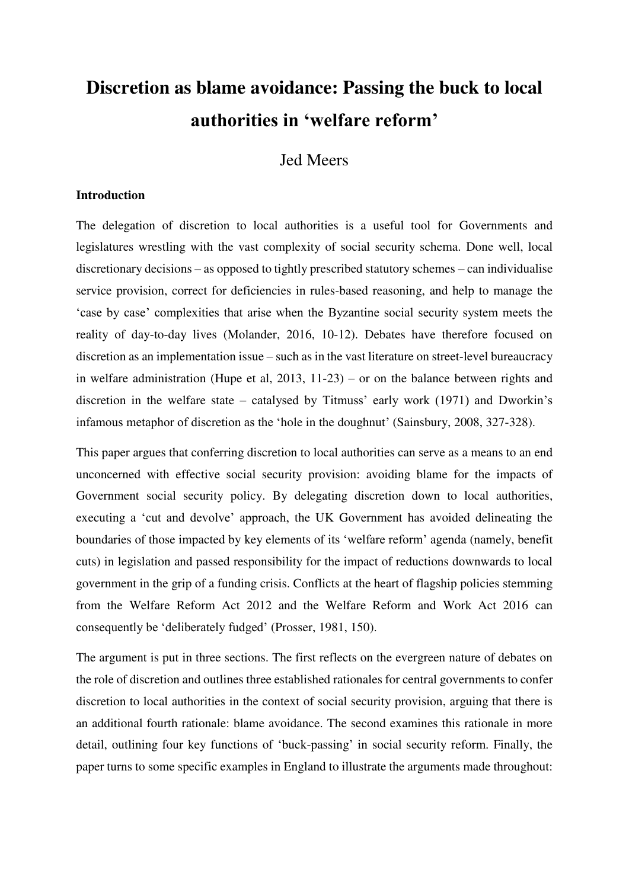# **Discretion as blame avoidance: Passing the buck to local authorities in 'welfare reform'**

# Jed Meers

# **Introduction**

The delegation of discretion to local authorities is a useful tool for Governments and legislatures wrestling with the vast complexity of social security schema. Done well, local discretionary decisions – as opposed to tightly prescribed statutory schemes – can individualise service provision, correct for deficiencies in rules-based reasoning, and help to manage the 'case by case' complexities that arise when the Byzantine social security system meets the reality of day-to-day lives (Molander, 2016, 10-12). Debates have therefore focused on discretion as an implementation issue – such as in the vast literature on street-level bureaucracy in welfare administration (Hupe et al, 2013, 11-23) – or on the balance between rights and discretion in the welfare state – catalysed by Titmuss' early work (1971) and Dworkin's infamous metaphor of discretion as the 'hole in the doughnut' (Sainsbury, 2008, 327-328).

This paper argues that conferring discretion to local authorities can serve as a means to an end unconcerned with effective social security provision: avoiding blame for the impacts of Government social security policy. By delegating discretion down to local authorities, executing a 'cut and devolve' approach, the UK Government has avoided delineating the boundaries of those impacted by key elements of its 'welfare reform' agenda (namely, benefit cuts) in legislation and passed responsibility for the impact of reductions downwards to local government in the grip of a funding crisis. Conflicts at the heart of flagship policies stemming from the Welfare Reform Act 2012 and the Welfare Reform and Work Act 2016 can consequently be 'deliberately fudged' (Prosser, 1981, 150).

The argument is put in three sections. The first reflects on the evergreen nature of debates on the role of discretion and outlines three established rationales for central governments to confer discretion to local authorities in the context of social security provision, arguing that there is an additional fourth rationale: blame avoidance. The second examines this rationale in more detail, outlining four key functions of 'buck-passing' in social security reform. Finally, the paper turns to some specific examples in England to illustrate the arguments made throughout: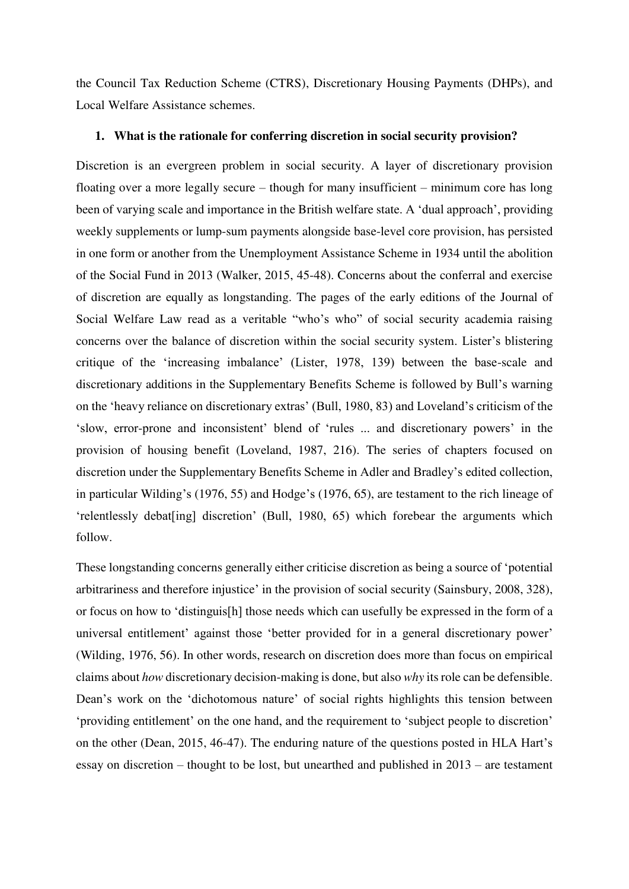the Council Tax Reduction Scheme (CTRS), Discretionary Housing Payments (DHPs), and Local Welfare Assistance schemes.

#### **1. What is the rationale for conferring discretion in social security provision?**

Discretion is an evergreen problem in social security. A layer of discretionary provision floating over a more legally secure – though for many insufficient – minimum core has long been of varying scale and importance in the British welfare state. A 'dual approach', providing weekly supplements or lump-sum payments alongside base-level core provision, has persisted in one form or another from the Unemployment Assistance Scheme in 1934 until the abolition of the Social Fund in 2013 (Walker, 2015, 45-48). Concerns about the conferral and exercise of discretion are equally as longstanding. The pages of the early editions of the Journal of Social Welfare Law read as a veritable "who's who" of social security academia raising concerns over the balance of discretion within the social security system. Lister's blistering critique of the 'increasing imbalance' (Lister, 1978, 139) between the base-scale and discretionary additions in the Supplementary Benefits Scheme is followed by Bull's warning on the 'heavy reliance on discretionary extras' (Bull, 1980, 83) and Loveland's criticism of the 'slow, error-prone and inconsistent' blend of 'rules ... and discretionary powers' in the provision of housing benefit (Loveland, 1987, 216). The series of chapters focused on discretion under the Supplementary Benefits Scheme in Adler and Bradley's edited collection, in particular Wilding's (1976, 55) and Hodge's (1976, 65), are testament to the rich lineage of 'relentlessly debat[ing] discretion' (Bull, 1980, 65) which forebear the arguments which follow.

These longstanding concerns generally either criticise discretion as being a source of 'potential arbitrariness and therefore injustice' in the provision of social security (Sainsbury, 2008, 328), or focus on how to 'distinguis[h] those needs which can usefully be expressed in the form of a universal entitlement' against those 'better provided for in a general discretionary power' (Wilding, 1976, 56). In other words, research on discretion does more than focus on empirical claims about *how* discretionary decision-making is done, but also *why* its role can be defensible. Dean's work on the 'dichotomous nature' of social rights highlights this tension between 'providing entitlement' on the one hand, and the requirement to 'subject people to discretion' on the other (Dean, 2015, 46-47). The enduring nature of the questions posted in HLA Hart's essay on discretion – thought to be lost, but unearthed and published in 2013 – are testament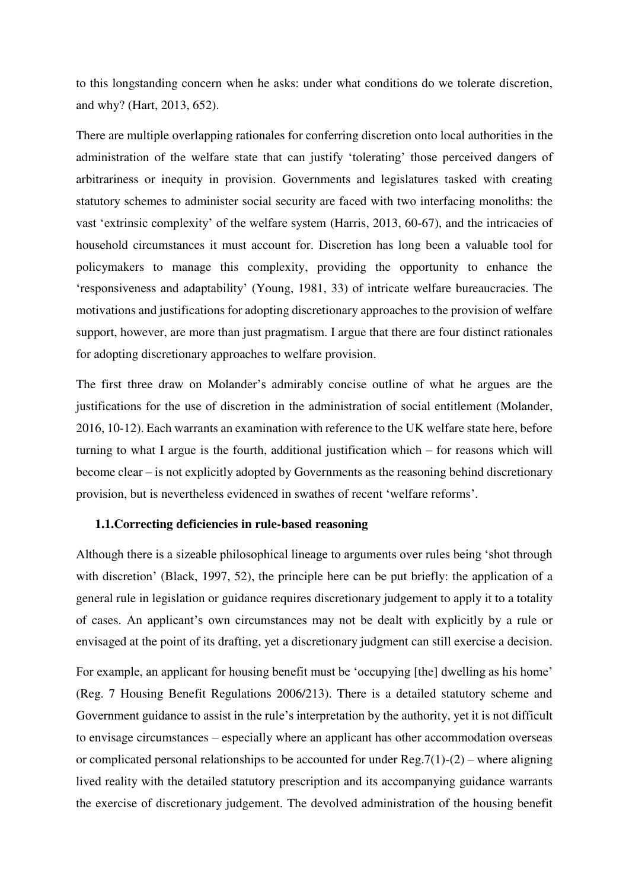to this longstanding concern when he asks: under what conditions do we tolerate discretion, and why? (Hart, 2013, 652).

There are multiple overlapping rationales for conferring discretion onto local authorities in the administration of the welfare state that can justify 'tolerating' those perceived dangers of arbitrariness or inequity in provision. Governments and legislatures tasked with creating statutory schemes to administer social security are faced with two interfacing monoliths: the vast 'extrinsic complexity' of the welfare system (Harris, 2013, 60-67), and the intricacies of household circumstances it must account for. Discretion has long been a valuable tool for policymakers to manage this complexity, providing the opportunity to enhance the 'responsiveness and adaptability' (Young, 1981, 33) of intricate welfare bureaucracies. The motivations and justifications for adopting discretionary approaches to the provision of welfare support, however, are more than just pragmatism. I argue that there are four distinct rationales for adopting discretionary approaches to welfare provision.

The first three draw on Molander's admirably concise outline of what he argues are the justifications for the use of discretion in the administration of social entitlement (Molander, 2016, 10-12). Each warrants an examination with reference to the UK welfare state here, before turning to what I argue is the fourth, additional justification which – for reasons which will become clear – is not explicitly adopted by Governments as the reasoning behind discretionary provision, but is nevertheless evidenced in swathes of recent 'welfare reforms'.

### **1.1.Correcting deficiencies in rule-based reasoning**

Although there is a sizeable philosophical lineage to arguments over rules being 'shot through with discretion' (Black, 1997, 52), the principle here can be put briefly: the application of a general rule in legislation or guidance requires discretionary judgement to apply it to a totality of cases. An applicant's own circumstances may not be dealt with explicitly by a rule or envisaged at the point of its drafting, yet a discretionary judgment can still exercise a decision.

For example, an applicant for housing benefit must be 'occupying [the] dwelling as his home' (Reg. 7 Housing Benefit Regulations 2006/213). There is a detailed statutory scheme and Government guidance to assist in the rule's interpretation by the authority, yet it is not difficult to envisage circumstances – especially where an applicant has other accommodation overseas or complicated personal relationships to be accounted for under  $Reg.7(1)-(2)$  – where aligning lived reality with the detailed statutory prescription and its accompanying guidance warrants the exercise of discretionary judgement. The devolved administration of the housing benefit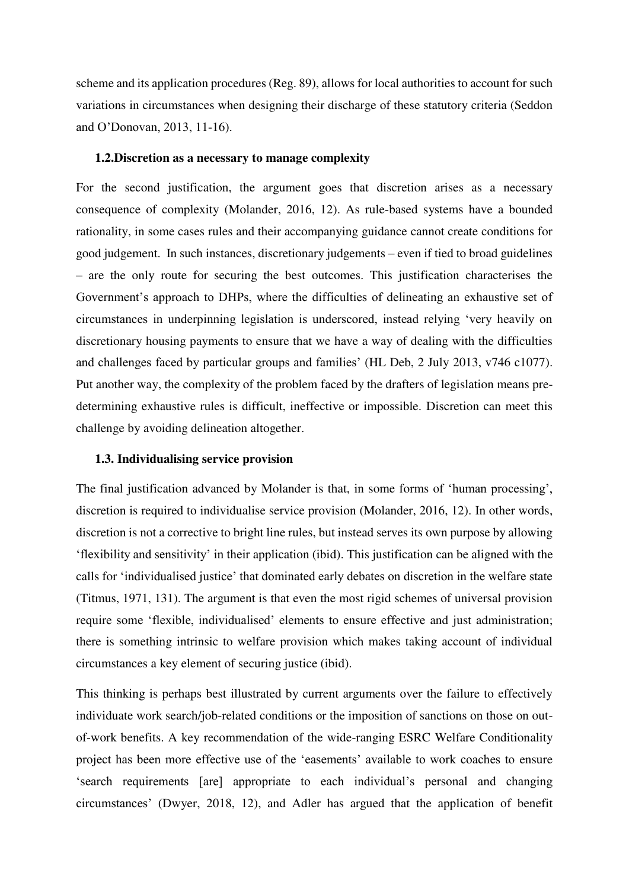scheme and its application procedures (Reg. 89), allows for local authorities to account for such variations in circumstances when designing their discharge of these statutory criteria (Seddon and O'Donovan, 2013, 11-16).

#### **1.2.Discretion as a necessary to manage complexity**

For the second justification, the argument goes that discretion arises as a necessary consequence of complexity (Molander, 2016, 12). As rule-based systems have a bounded rationality, in some cases rules and their accompanying guidance cannot create conditions for good judgement. In such instances, discretionary judgements – even if tied to broad guidelines – are the only route for securing the best outcomes. This justification characterises the Government's approach to DHPs, where the difficulties of delineating an exhaustive set of circumstances in underpinning legislation is underscored, instead relying 'very heavily on discretionary housing payments to ensure that we have a way of dealing with the difficulties and challenges faced by particular groups and families' (HL Deb, 2 July 2013, v746 c1077). Put another way, the complexity of the problem faced by the drafters of legislation means predetermining exhaustive rules is difficult, ineffective or impossible. Discretion can meet this challenge by avoiding delineation altogether.

#### **1.3. Individualising service provision**

The final justification advanced by Molander is that, in some forms of 'human processing', discretion is required to individualise service provision (Molander, 2016, 12). In other words, discretion is not a corrective to bright line rules, but instead serves its own purpose by allowing 'flexibility and sensitivity' in their application (ibid). This justification can be aligned with the calls for 'individualised justice' that dominated early debates on discretion in the welfare state (Titmus, 1971, 131). The argument is that even the most rigid schemes of universal provision require some 'flexible, individualised' elements to ensure effective and just administration; there is something intrinsic to welfare provision which makes taking account of individual circumstances a key element of securing justice (ibid).

This thinking is perhaps best illustrated by current arguments over the failure to effectively individuate work search/job-related conditions or the imposition of sanctions on those on outof-work benefits. A key recommendation of the wide-ranging ESRC Welfare Conditionality project has been more effective use of the 'easements' available to work coaches to ensure 'search requirements [are] appropriate to each individual's personal and changing circumstances' (Dwyer, 2018, 12), and Adler has argued that the application of benefit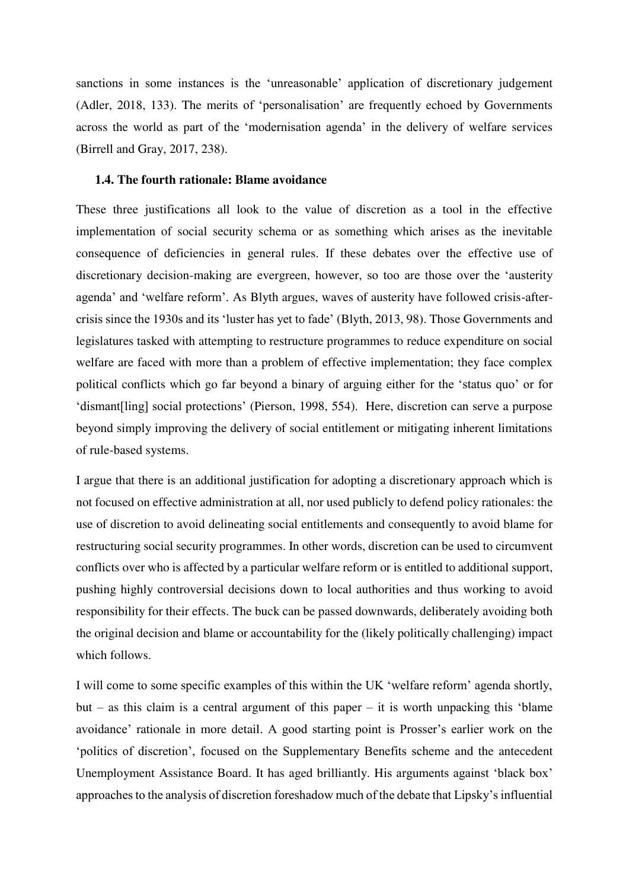sanctions in some instances is the 'unreasonable' application of discretionary judgement (Adler, 2018, 133). The merits of 'personalisation' are frequently echoed by Governments across the world as part of the 'modernisation agenda' in the delivery of welfare services (Birrell and Gray, 2017, 238).

# **1.4. The fourth rationale: Blame avoidance**

These three justifications all look to the value of discretion as a tool in the effective implementation of social security schema or as something which arises as the inevitable consequence of deficiencies in general rules. If these debates over the effective use of discretionary decision-making are evergreen, however, so too are those over the 'austerity agenda' and 'welfare reform'. As Blyth argues, waves of austerity have followed crisis-aftercrisis since the 1930s and its 'luster has yet to fade' (Blyth, 2013, 98). Those Governments and legislatures tasked with attempting to restructure programmes to reduce expenditure on social welfare are faced with more than a problem of effective implementation; they face complex political conflicts which go far beyond a binary of arguing either for the 'status quo' or for 'dismant[ling] social protections' (Pierson, 1998, 554). Here, discretion can serve a purpose beyond simply improving the delivery of social entitlement or mitigating inherent limitations of rule-based systems.

I argue that there is an additional justification for adopting a discretionary approach which is not focused on effective administration at all, nor used publicly to defend policy rationales: the use of discretion to avoid delineating social entitlements and consequently to avoid blame for restructuring social security programmes. In other words, discretion can be used to circumvent conflicts over who is affected by a particular welfare reform or is entitled to additional support, pushing highly controversial decisions down to local authorities and thus working to avoid responsibility for their effects. The buck can be passed downwards, deliberately avoiding both the original decision and blame or accountability for the (likely politically challenging) impact which follows.

I will come to some specific examples of this within the UK 'welfare reform' agenda shortly, but – as this claim is a central argument of this paper – it is worth unpacking this 'blame' avoidance' rationale in more detail. A good starting point is Prosser's earlier work on the 'politics of discretion', focused on the Supplementary Benefits scheme and the antecedent Unemployment Assistance Board. It has aged brilliantly. His arguments against 'black box' approaches to the analysis of discretion foreshadow much of the debate that Lipsky's influential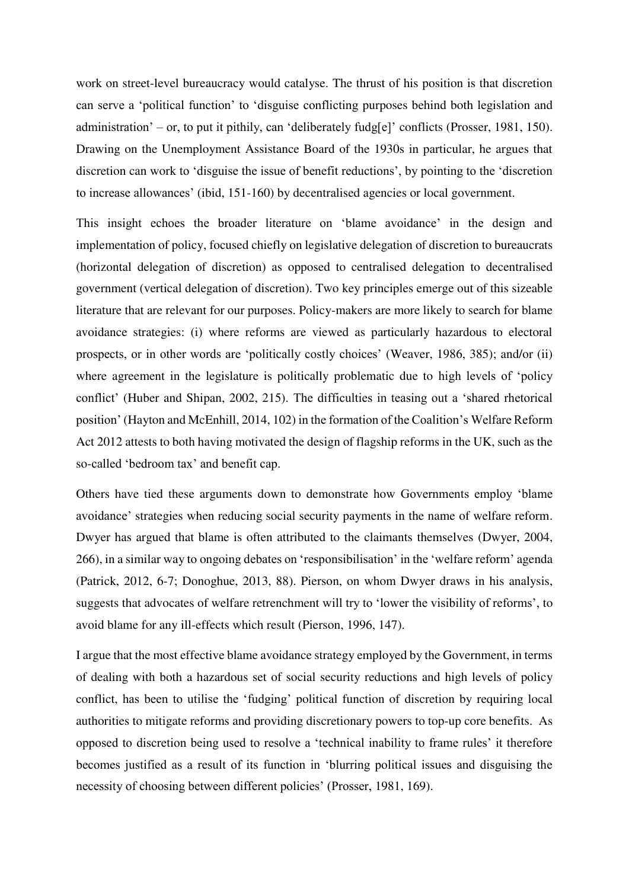work on street-level bureaucracy would catalyse. The thrust of his position is that discretion can serve a 'political function' to 'disguise conflicting purposes behind both legislation and administration' – or, to put it pithily, can 'deliberately fudg[e]' conflicts (Prosser, 1981, 150). Drawing on the Unemployment Assistance Board of the 1930s in particular, he argues that discretion can work to 'disguise the issue of benefit reductions', by pointing to the 'discretion to increase allowances' (ibid, 151-160) by decentralised agencies or local government.

This insight echoes the broader literature on 'blame avoidance' in the design and implementation of policy, focused chiefly on legislative delegation of discretion to bureaucrats (horizontal delegation of discretion) as opposed to centralised delegation to decentralised government (vertical delegation of discretion). Two key principles emerge out of this sizeable literature that are relevant for our purposes. Policy-makers are more likely to search for blame avoidance strategies: (i) where reforms are viewed as particularly hazardous to electoral prospects, or in other words are 'politically costly choices' (Weaver, 1986, 385); and/or (ii) where agreement in the legislature is politically problematic due to high levels of 'policy conflict' (Huber and Shipan, 2002, 215). The difficulties in teasing out a 'shared rhetorical position' (Hayton and McEnhill, 2014, 102) in the formation of the Coalition's Welfare Reform Act 2012 attests to both having motivated the design of flagship reforms in the UK, such as the so-called 'bedroom tax' and benefit cap.

Others have tied these arguments down to demonstrate how Governments employ 'blame avoidance' strategies when reducing social security payments in the name of welfare reform. Dwyer has argued that blame is often attributed to the claimants themselves (Dwyer, 2004, 266), in a similar way to ongoing debates on 'responsibilisation' in the 'welfare reform' agenda (Patrick, 2012, 6-7; Donoghue, 2013, 88). Pierson, on whom Dwyer draws in his analysis, suggests that advocates of welfare retrenchment will try to 'lower the visibility of reforms', to avoid blame for any ill-effects which result (Pierson, 1996, 147).

I argue that the most effective blame avoidance strategy employed by the Government, in terms of dealing with both a hazardous set of social security reductions and high levels of policy conflict, has been to utilise the 'fudging' political function of discretion by requiring local authorities to mitigate reforms and providing discretionary powers to top-up core benefits. As opposed to discretion being used to resolve a 'technical inability to frame rules' it therefore becomes justified as a result of its function in 'blurring political issues and disguising the necessity of choosing between different policies' (Prosser, 1981, 169).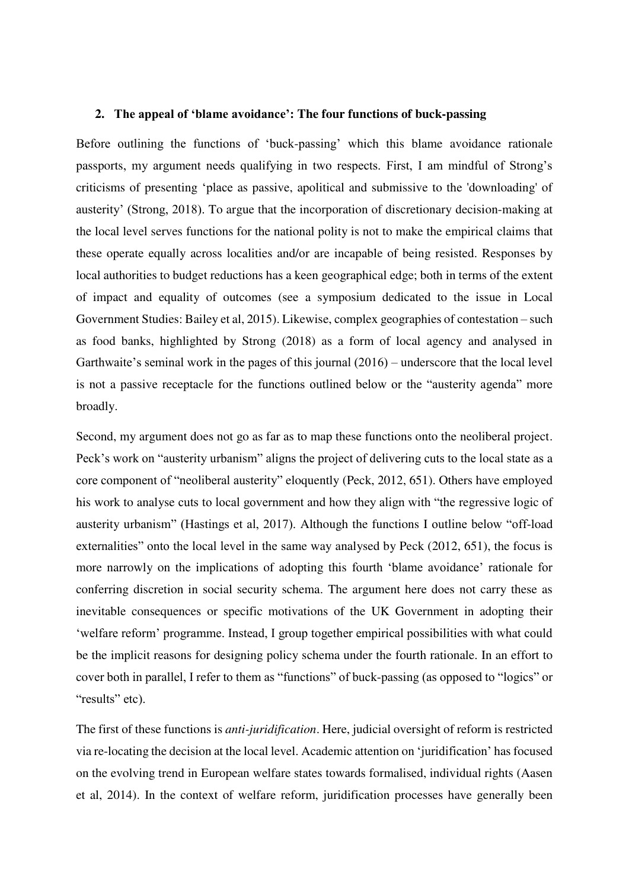# **2. The appeal of 'blame avoidance': The four functions of buck-passing**

Before outlining the functions of 'buck-passing' which this blame avoidance rationale passports, my argument needs qualifying in two respects. First, I am mindful of Strong's criticisms of presenting 'place as passive, apolitical and submissive to the 'downloading' of austerity' (Strong, 2018). To argue that the incorporation of discretionary decision-making at the local level serves functions for the national polity is not to make the empirical claims that these operate equally across localities and/or are incapable of being resisted. Responses by local authorities to budget reductions has a keen geographical edge; both in terms of the extent of impact and equality of outcomes (see a symposium dedicated to the issue in Local Government Studies: Bailey et al, 2015). Likewise, complex geographies of contestation – such as food banks, highlighted by Strong (2018) as a form of local agency and analysed in Garthwaite's seminal work in the pages of this journal (2016) – underscore that the local level is not a passive receptacle for the functions outlined below or the "austerity agenda" more broadly.

Second, my argument does not go as far as to map these functions onto the neoliberal project. Peck's work on "austerity urbanism" aligns the project of delivering cuts to the local state as a core component of "neoliberal austerity" eloquently (Peck, 2012, 651). Others have employed his work to analyse cuts to local government and how they align with "the regressive logic of austerity urbanism" (Hastings et al, 2017). Although the functions I outline below "off-load externalities" onto the local level in the same way analysed by Peck (2012, 651), the focus is more narrowly on the implications of adopting this fourth 'blame avoidance' rationale for conferring discretion in social security schema. The argument here does not carry these as inevitable consequences or specific motivations of the UK Government in adopting their 'welfare reform' programme. Instead, I group together empirical possibilities with what could be the implicit reasons for designing policy schema under the fourth rationale. In an effort to cover both in parallel, I refer to them as "functions" of buck-passing (as opposed to "logics" or "results" etc).

The first of these functions is *anti-juridification*. Here, judicial oversight of reform is restricted via re-locating the decision at the local level. Academic attention on 'juridification' has focused on the evolving trend in European welfare states towards formalised, individual rights (Aasen et al, 2014). In the context of welfare reform, juridification processes have generally been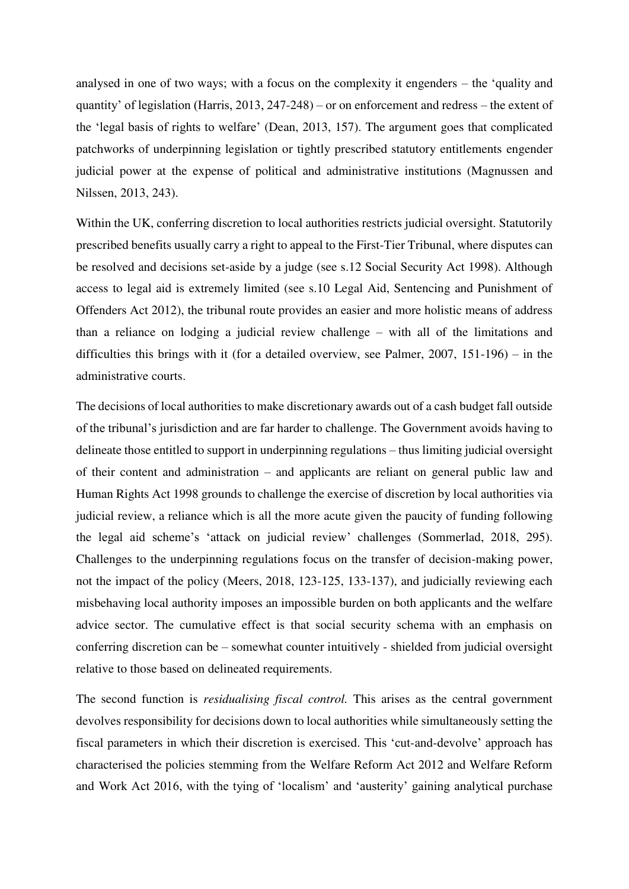analysed in one of two ways; with a focus on the complexity it engenders – the 'quality and quantity' of legislation (Harris, 2013, 247-248) – or on enforcement and redress – the extent of the 'legal basis of rights to welfare' (Dean, 2013, 157). The argument goes that complicated patchworks of underpinning legislation or tightly prescribed statutory entitlements engender judicial power at the expense of political and administrative institutions (Magnussen and Nilssen, 2013, 243).

Within the UK, conferring discretion to local authorities restricts judicial oversight. Statutorily prescribed benefits usually carry a right to appeal to the First-Tier Tribunal, where disputes can be resolved and decisions set-aside by a judge (see s.12 Social Security Act 1998). Although access to legal aid is extremely limited (see s.10 Legal Aid, Sentencing and Punishment of Offenders Act 2012), the tribunal route provides an easier and more holistic means of address than a reliance on lodging a judicial review challenge – with all of the limitations and difficulties this brings with it (for a detailed overview, see Palmer, 2007, 151-196) – in the administrative courts.

The decisions of local authorities to make discretionary awards out of a cash budget fall outside of the tribunal's jurisdiction and are far harder to challenge. The Government avoids having to delineate those entitled to support in underpinning regulations – thus limiting judicial oversight of their content and administration – and applicants are reliant on general public law and Human Rights Act 1998 grounds to challenge the exercise of discretion by local authorities via judicial review, a reliance which is all the more acute given the paucity of funding following the legal aid scheme's 'attack on judicial review' challenges (Sommerlad, 2018, 295). Challenges to the underpinning regulations focus on the transfer of decision-making power, not the impact of the policy (Meers, 2018, 123-125, 133-137), and judicially reviewing each misbehaving local authority imposes an impossible burden on both applicants and the welfare advice sector. The cumulative effect is that social security schema with an emphasis on conferring discretion can be – somewhat counter intuitively - shielded from judicial oversight relative to those based on delineated requirements.

The second function is *residualising fiscal control.* This arises as the central government devolves responsibility for decisions down to local authorities while simultaneously setting the fiscal parameters in which their discretion is exercised. This 'cut-and-devolve' approach has characterised the policies stemming from the Welfare Reform Act 2012 and Welfare Reform and Work Act 2016, with the tying of 'localism' and 'austerity' gaining analytical purchase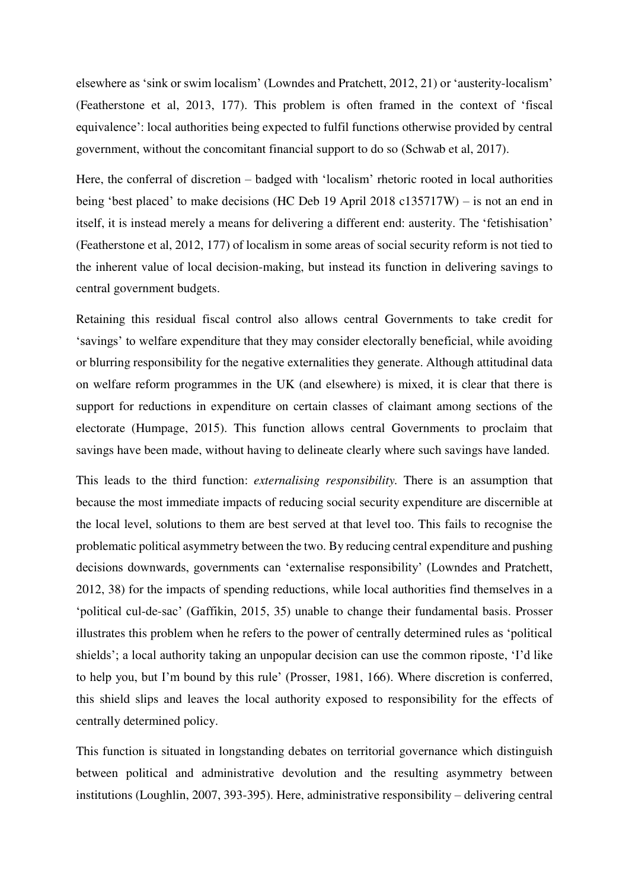elsewhere as 'sink or swim localism' (Lowndes and Pratchett, 2012, 21) or 'austerity-localism' (Featherstone et al, 2013, 177). This problem is often framed in the context of 'fiscal equivalence': local authorities being expected to fulfil functions otherwise provided by central government, without the concomitant financial support to do so (Schwab et al, 2017).

Here, the conferral of discretion – badged with 'localism' rhetoric rooted in local authorities being 'best placed' to make decisions (HC Deb 19 April 2018 c135717W) – is not an end in itself, it is instead merely a means for delivering a different end: austerity. The 'fetishisation' (Featherstone et al, 2012, 177) of localism in some areas of social security reform is not tied to the inherent value of local decision-making, but instead its function in delivering savings to central government budgets.

Retaining this residual fiscal control also allows central Governments to take credit for 'savings' to welfare expenditure that they may consider electorally beneficial, while avoiding or blurring responsibility for the negative externalities they generate. Although attitudinal data on welfare reform programmes in the UK (and elsewhere) is mixed, it is clear that there is support for reductions in expenditure on certain classes of claimant among sections of the electorate (Humpage, 2015). This function allows central Governments to proclaim that savings have been made, without having to delineate clearly where such savings have landed.

This leads to the third function: *externalising responsibility.* There is an assumption that because the most immediate impacts of reducing social security expenditure are discernible at the local level, solutions to them are best served at that level too. This fails to recognise the problematic political asymmetry between the two. By reducing central expenditure and pushing decisions downwards, governments can 'externalise responsibility' (Lowndes and Pratchett, 2012, 38) for the impacts of spending reductions, while local authorities find themselves in a 'political cul-de-sac' (Gaffikin, 2015, 35) unable to change their fundamental basis. Prosser illustrates this problem when he refers to the power of centrally determined rules as 'political shields'; a local authority taking an unpopular decision can use the common riposte, 'I'd like to help you, but I'm bound by this rule' (Prosser, 1981, 166). Where discretion is conferred, this shield slips and leaves the local authority exposed to responsibility for the effects of centrally determined policy.

This function is situated in longstanding debates on territorial governance which distinguish between political and administrative devolution and the resulting asymmetry between institutions (Loughlin, 2007, 393-395). Here, administrative responsibility – delivering central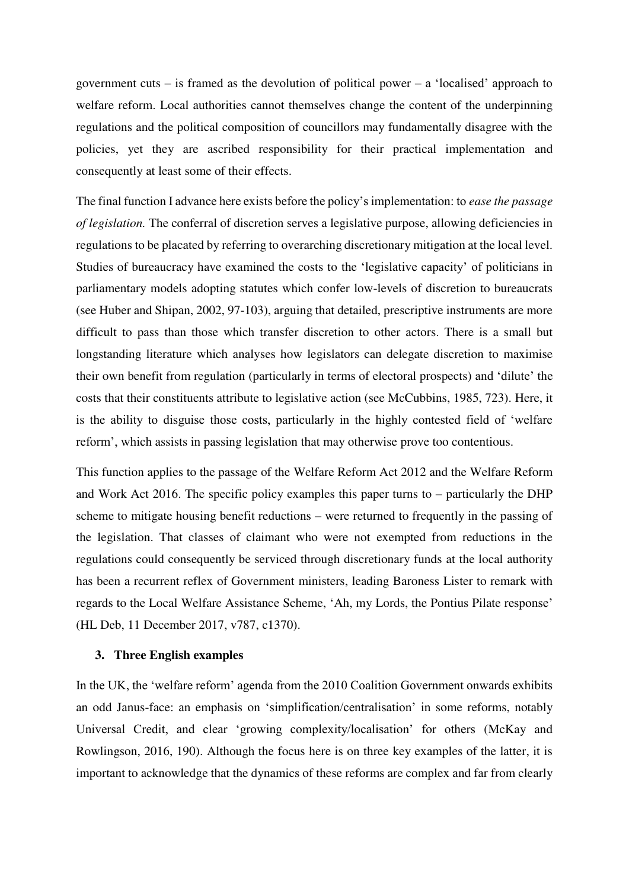government cuts – is framed as the devolution of political power – a 'localised' approach to welfare reform. Local authorities cannot themselves change the content of the underpinning regulations and the political composition of councillors may fundamentally disagree with the policies, yet they are ascribed responsibility for their practical implementation and consequently at least some of their effects.

The final function I advance here exists before the policy's implementation: to *ease the passage of legislation.* The conferral of discretion serves a legislative purpose, allowing deficiencies in regulations to be placated by referring to overarching discretionary mitigation at the local level. Studies of bureaucracy have examined the costs to the 'legislative capacity' of politicians in parliamentary models adopting statutes which confer low-levels of discretion to bureaucrats (see Huber and Shipan, 2002, 97-103), arguing that detailed, prescriptive instruments are more difficult to pass than those which transfer discretion to other actors. There is a small but longstanding literature which analyses how legislators can delegate discretion to maximise their own benefit from regulation (particularly in terms of electoral prospects) and 'dilute' the costs that their constituents attribute to legislative action (see McCubbins, 1985, 723). Here, it is the ability to disguise those costs, particularly in the highly contested field of 'welfare reform', which assists in passing legislation that may otherwise prove too contentious.

This function applies to the passage of the Welfare Reform Act 2012 and the Welfare Reform and Work Act 2016. The specific policy examples this paper turns to – particularly the DHP scheme to mitigate housing benefit reductions – were returned to frequently in the passing of the legislation. That classes of claimant who were not exempted from reductions in the regulations could consequently be serviced through discretionary funds at the local authority has been a recurrent reflex of Government ministers, leading Baroness Lister to remark with regards to the Local Welfare Assistance Scheme, 'Ah, my Lords, the Pontius Pilate response' (HL Deb, 11 December 2017, v787, c1370).

### **3. Three English examples**

In the UK, the 'welfare reform' agenda from the 2010 Coalition Government onwards exhibits an odd Janus-face: an emphasis on 'simplification/centralisation' in some reforms, notably Universal Credit, and clear 'growing complexity/localisation' for others (McKay and Rowlingson, 2016, 190). Although the focus here is on three key examples of the latter, it is important to acknowledge that the dynamics of these reforms are complex and far from clearly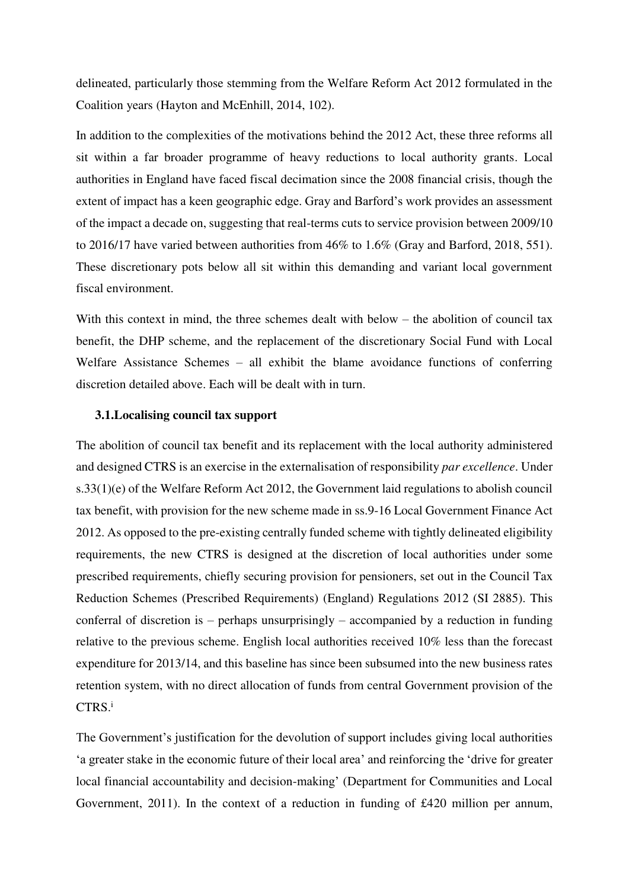delineated, particularly those stemming from the Welfare Reform Act 2012 formulated in the Coalition years (Hayton and McEnhill, 2014, 102).

In addition to the complexities of the motivations behind the 2012 Act, these three reforms all sit within a far broader programme of heavy reductions to local authority grants. Local authorities in England have faced fiscal decimation since the 2008 financial crisis, though the extent of impact has a keen geographic edge. Gray and Barford's work provides an assessment of the impact a decade on, suggesting that real-terms cuts to service provision between 2009/10 to 2016/17 have varied between authorities from 46% to 1.6% (Gray and Barford, 2018, 551). These discretionary pots below all sit within this demanding and variant local government fiscal environment.

With this context in mind, the three schemes dealt with below – the abolition of council tax benefit, the DHP scheme, and the replacement of the discretionary Social Fund with Local Welfare Assistance Schemes – all exhibit the blame avoidance functions of conferring discretion detailed above. Each will be dealt with in turn.

#### **3.1.Localising council tax support**

The abolition of council tax benefit and its replacement with the local authority administered and designed CTRS is an exercise in the externalisation of responsibility *par excellence*. Under s.33(1)(e) of the Welfare Reform Act 2012, the Government laid regulations to abolish council tax benefit, with provision for the new scheme made in ss.9-16 Local Government Finance Act 2012. As opposed to the pre-existing centrally funded scheme with tightly delineated eligibility requirements, the new CTRS is designed at the discretion of local authorities under some prescribed requirements, chiefly securing provision for pensioners, set out in the Council Tax Reduction Schemes (Prescribed Requirements) (England) Regulations 2012 (SI 2885). This conferral of discretion is – perhaps unsurprisingly – accompanied by a reduction in funding relative to the previous scheme. English local authorities received 10% less than the forecast expenditure for 2013/14, and this baseline has since been subsumed into the new business rates retention system, with no direct allocation of funds from central Government provision of the CTRS.<sup>i</sup>

The Government's justification for the devolution of support includes giving local authorities 'a greater stake in the economic future of their local area' and reinforcing the 'drive for greater local financial accountability and decision-making' (Department for Communities and Local Government, 2011). In the context of a reduction in funding of £420 million per annum,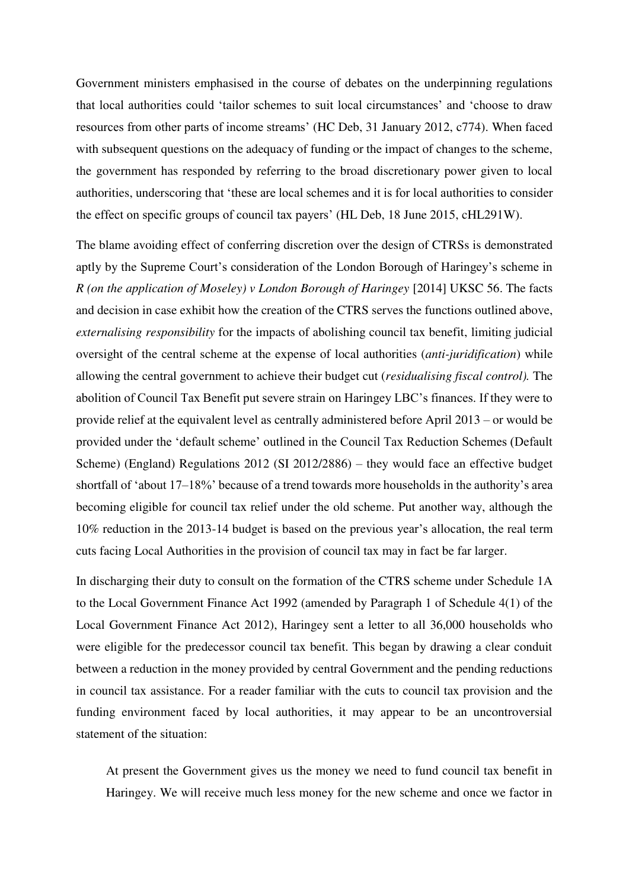Government ministers emphasised in the course of debates on the underpinning regulations that local authorities could 'tailor schemes to suit local circumstances' and 'choose to draw resources from other parts of income streams' (HC Deb, 31 January 2012, c774). When faced with subsequent questions on the adequacy of funding or the impact of changes to the scheme, the government has responded by referring to the broad discretionary power given to local authorities, underscoring that 'these are local schemes and it is for local authorities to consider the effect on specific groups of council tax payers' (HL Deb, 18 June 2015, cHL291W).

The blame avoiding effect of conferring discretion over the design of CTRSs is demonstrated aptly by the Supreme Court's consideration of the London Borough of Haringey's scheme in *R (on the application of Moseley) v London Borough of Haringey* [2014] UKSC 56. The facts and decision in case exhibit how the creation of the CTRS serves the functions outlined above, *externalising responsibility* for the impacts of abolishing council tax benefit, limiting judicial oversight of the central scheme at the expense of local authorities (*anti-juridification*) while allowing the central government to achieve their budget cut (*residualising fiscal control).* The abolition of Council Tax Benefit put severe strain on Haringey LBC's finances. If they were to provide relief at the equivalent level as centrally administered before April 2013 – or would be provided under the 'default scheme' outlined in the Council Tax Reduction Schemes (Default Scheme) (England) Regulations 2012 (SI 2012/2886) – they would face an effective budget shortfall of 'about 17–18%' because of a trend towards more households in the authority's area becoming eligible for council tax relief under the old scheme. Put another way, although the 10% reduction in the 2013-14 budget is based on the previous year's allocation, the real term cuts facing Local Authorities in the provision of council tax may in fact be far larger.

In discharging their duty to consult on the formation of the CTRS scheme under Schedule 1A to the Local Government Finance Act 1992 (amended by Paragraph 1 of Schedule 4(1) of the Local Government Finance Act 2012), Haringey sent a letter to all 36,000 households who were eligible for the predecessor council tax benefit. This began by drawing a clear conduit between a reduction in the money provided by central Government and the pending reductions in council tax assistance. For a reader familiar with the cuts to council tax provision and the funding environment faced by local authorities, it may appear to be an uncontroversial statement of the situation:

At present the Government gives us the money we need to fund council tax benefit in Haringey. We will receive much less money for the new scheme and once we factor in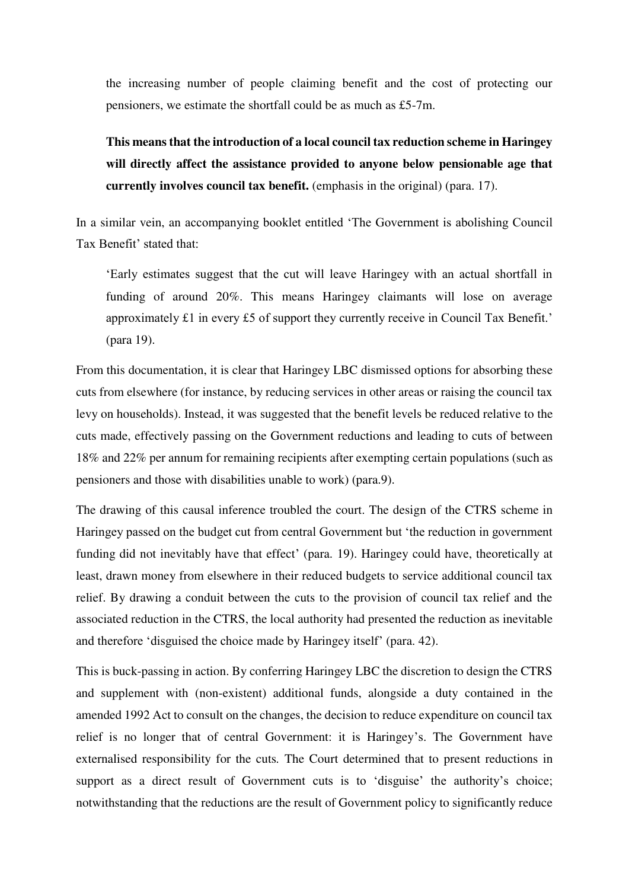the increasing number of people claiming benefit and the cost of protecting our pensioners, we estimate the shortfall could be as much as £5-7m.

**This means that the introduction of a local council tax reduction scheme in Haringey will directly affect the assistance provided to anyone below pensionable age that currently involves council tax benefit.** (emphasis in the original) (para. 17).

In a similar vein, an accompanying booklet entitled 'The Government is abolishing Council Tax Benefit' stated that:

'Early estimates suggest that the cut will leave Haringey with an actual shortfall in funding of around 20%. This means Haringey claimants will lose on average approximately £1 in every £5 of support they currently receive in Council Tax Benefit.' (para 19).

From this documentation, it is clear that Haringey LBC dismissed options for absorbing these cuts from elsewhere (for instance, by reducing services in other areas or raising the council tax levy on households). Instead, it was suggested that the benefit levels be reduced relative to the cuts made, effectively passing on the Government reductions and leading to cuts of between 18% and 22% per annum for remaining recipients after exempting certain populations (such as pensioners and those with disabilities unable to work) (para.9).

The drawing of this causal inference troubled the court. The design of the CTRS scheme in Haringey passed on the budget cut from central Government but 'the reduction in government funding did not inevitably have that effect' (para. 19). Haringey could have, theoretically at least, drawn money from elsewhere in their reduced budgets to service additional council tax relief. By drawing a conduit between the cuts to the provision of council tax relief and the associated reduction in the CTRS, the local authority had presented the reduction as inevitable and therefore 'disguised the choice made by Haringey itself' (para. 42).

This is buck-passing in action. By conferring Haringey LBC the discretion to design the CTRS and supplement with (non-existent) additional funds, alongside a duty contained in the amended 1992 Act to consult on the changes, the decision to reduce expenditure on council tax relief is no longer that of central Government: it is Haringey's. The Government have externalised responsibility for the cuts*.* The Court determined that to present reductions in support as a direct result of Government cuts is to 'disguise' the authority's choice; notwithstanding that the reductions are the result of Government policy to significantly reduce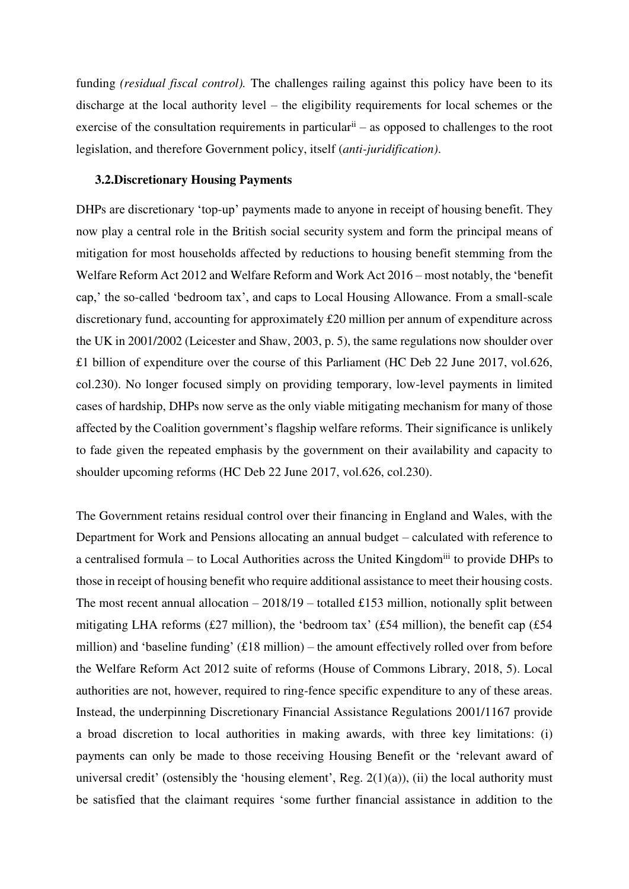funding *(residual fiscal control)*. The challenges railing against this policy have been to its discharge at the local authority level – the eligibility requirements for local schemes or the exercise of the consultation requirements in particular  $\ddot{a}$  – as opposed to challenges to the root legislation, and therefore Government policy, itself (*anti-juridification)*.

# **3.2.Discretionary Housing Payments**

DHPs are discretionary 'top-up' payments made to anyone in receipt of housing benefit. They now play a central role in the British social security system and form the principal means of mitigation for most households affected by reductions to housing benefit stemming from the Welfare Reform Act 2012 and Welfare Reform and Work Act 2016 – most notably, the 'benefit cap,' the so-called 'bedroom tax', and caps to Local Housing Allowance. From a small-scale discretionary fund, accounting for approximately £20 million per annum of expenditure across the UK in 2001/2002 (Leicester and Shaw, 2003, p. 5), the same regulations now shoulder over £1 billion of expenditure over the course of this Parliament (HC Deb 22 June 2017, vol.626, col.230). No longer focused simply on providing temporary, low-level payments in limited cases of hardship, DHPs now serve as the only viable mitigating mechanism for many of those affected by the Coalition government's flagship welfare reforms. Their significance is unlikely to fade given the repeated emphasis by the government on their availability and capacity to shoulder upcoming reforms (HC Deb 22 June 2017, vol.626, col.230).

The Government retains residual control over their financing in England and Wales, with the Department for Work and Pensions allocating an annual budget – calculated with reference to a centralised formula – to Local Authorities across the United Kingdom<sup>iii</sup> to provide DHPs to those in receipt of housing benefit who require additional assistance to meet their housing costs. The most recent annual allocation  $-2018/19$  – totalled £153 million, notionally split between mitigating LHA reforms (£27 million), the 'bedroom tax' (£54 million), the benefit cap ( $£54$ million) and 'baseline funding'  $(£18$  million) – the amount effectively rolled over from before the Welfare Reform Act 2012 suite of reforms (House of Commons Library, 2018, 5). Local authorities are not, however, required to ring-fence specific expenditure to any of these areas. Instead, the underpinning Discretionary Financial Assistance Regulations 2001/1167 provide a broad discretion to local authorities in making awards, with three key limitations: (i) payments can only be made to those receiving Housing Benefit or the 'relevant award of universal credit' (ostensibly the 'housing element', Reg.  $2(1)(a)$ ), (ii) the local authority must be satisfied that the claimant requires 'some further financial assistance in addition to the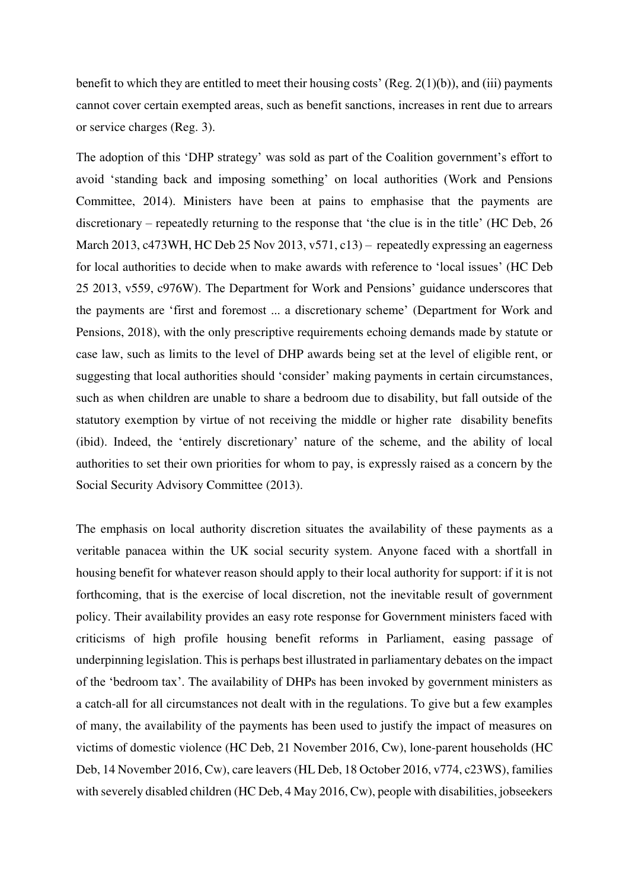benefit to which they are entitled to meet their housing costs' (Reg. 2(1)(b)), and (iii) payments cannot cover certain exempted areas, such as benefit sanctions, increases in rent due to arrears or service charges (Reg. 3).

The adoption of this 'DHP strategy' was sold as part of the Coalition government's effort to avoid 'standing back and imposing something' on local authorities (Work and Pensions Committee, 2014). Ministers have been at pains to emphasise that the payments are discretionary – repeatedly returning to the response that 'the clue is in the title' (HC Deb, 26 March 2013, c473WH, HC Deb 25 Nov 2013, v571, c13) – repeatedly expressing an eagerness for local authorities to decide when to make awards with reference to 'local issues' (HC Deb 25 2013, v559, c976W). The Department for Work and Pensions' guidance underscores that the payments are 'first and foremost ... a discretionary scheme' (Department for Work and Pensions, 2018), with the only prescriptive requirements echoing demands made by statute or case law, such as limits to the level of DHP awards being set at the level of eligible rent, or suggesting that local authorities should 'consider' making payments in certain circumstances, such as when children are unable to share a bedroom due to disability, but fall outside of the statutory exemption by virtue of not receiving the middle or higher rate disability benefits (ibid). Indeed, the 'entirely discretionary' nature of the scheme, and the ability of local authorities to set their own priorities for whom to pay, is expressly raised as a concern by the Social Security Advisory Committee (2013).

The emphasis on local authority discretion situates the availability of these payments as a veritable panacea within the UK social security system. Anyone faced with a shortfall in housing benefit for whatever reason should apply to their local authority for support: if it is not forthcoming, that is the exercise of local discretion, not the inevitable result of government policy. Their availability provides an easy rote response for Government ministers faced with criticisms of high profile housing benefit reforms in Parliament, easing passage of underpinning legislation. This is perhaps best illustrated in parliamentary debates on the impact of the 'bedroom tax'. The availability of DHPs has been invoked by government ministers as a catch-all for all circumstances not dealt with in the regulations. To give but a few examples of many, the availability of the payments has been used to justify the impact of measures on victims of domestic violence (HC Deb, 21 November 2016, Cw), lone-parent households (HC Deb, 14 November 2016, Cw), care leavers (HL Deb, 18 October 2016, v774, c23WS), families with severely disabled children (HC Deb, 4 May 2016, Cw), people with disabilities, jobseekers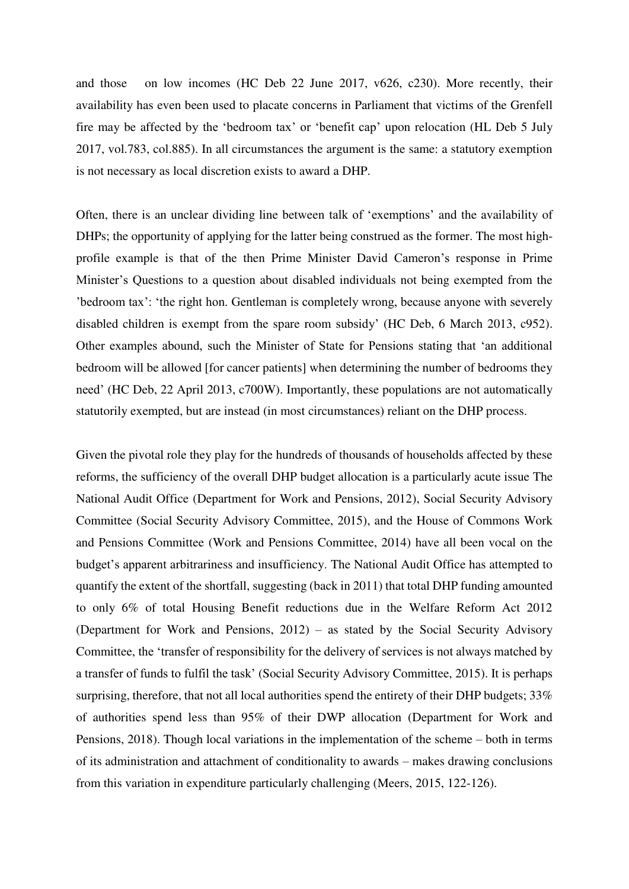and those on low incomes (HC Deb 22 June 2017, v626, c230). More recently, their availability has even been used to placate concerns in Parliament that victims of the Grenfell fire may be affected by the 'bedroom tax' or 'benefit cap' upon relocation (HL Deb 5 July 2017, vol.783, col.885). In all circumstances the argument is the same: a statutory exemption is not necessary as local discretion exists to award a DHP.

Often, there is an unclear dividing line between talk of 'exemptions' and the availability of DHPs; the opportunity of applying for the latter being construed as the former. The most highprofile example is that of the then Prime Minister David Cameron's response in Prime Minister's Questions to a question about disabled individuals not being exempted from the 'bedroom tax': 'the right hon. Gentleman is completely wrong, because anyone with severely disabled children is exempt from the spare room subsidy' (HC Deb, 6 March 2013, c952). Other examples abound, such the Minister of State for Pensions stating that 'an additional bedroom will be allowed [for cancer patients] when determining the number of bedrooms they need' (HC Deb, 22 April 2013, c700W). Importantly, these populations are not automatically statutorily exempted, but are instead (in most circumstances) reliant on the DHP process.

Given the pivotal role they play for the hundreds of thousands of households affected by these reforms, the sufficiency of the overall DHP budget allocation is a particularly acute issue The National Audit Office (Department for Work and Pensions, 2012), Social Security Advisory Committee (Social Security Advisory Committee, 2015), and the House of Commons Work and Pensions Committee (Work and Pensions Committee, 2014) have all been vocal on the budget's apparent arbitrariness and insufficiency. The National Audit Office has attempted to quantify the extent of the shortfall, suggesting (back in 2011) that total DHP funding amounted to only 6% of total Housing Benefit reductions due in the Welfare Reform Act 2012 (Department for Work and Pensions, 2012) – as stated by the Social Security Advisory Committee, the 'transfer of responsibility for the delivery of services is not always matched by a transfer of funds to fulfil the task' (Social Security Advisory Committee, 2015). It is perhaps surprising, therefore, that not all local authorities spend the entirety of their DHP budgets; 33% of authorities spend less than 95% of their DWP allocation (Department for Work and Pensions, 2018). Though local variations in the implementation of the scheme – both in terms of its administration and attachment of conditionality to awards – makes drawing conclusions from this variation in expenditure particularly challenging (Meers, 2015, 122-126).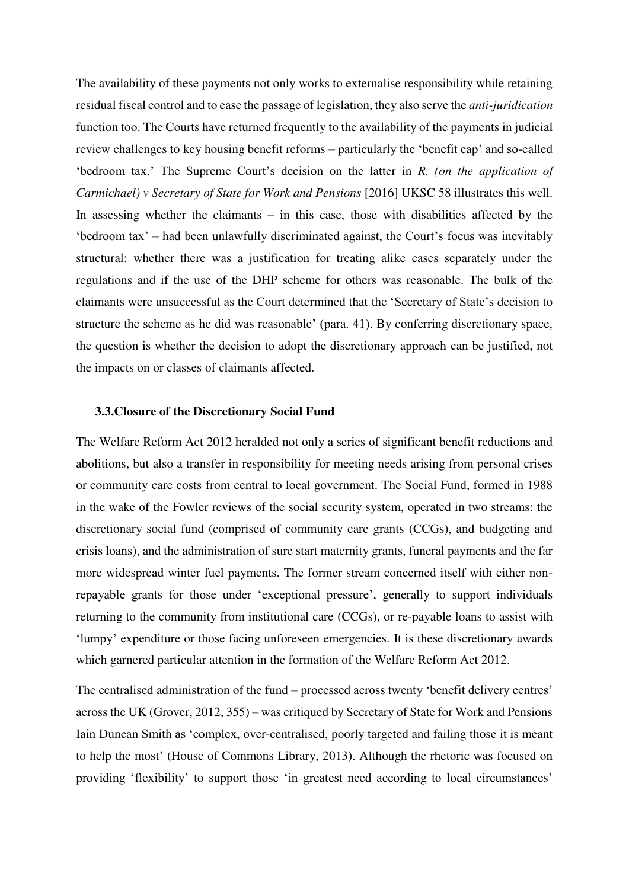The availability of these payments not only works to externalise responsibility while retaining residual fiscal control and to ease the passage of legislation, they also serve the *anti-juridication* function too. The Courts have returned frequently to the availability of the payments in judicial review challenges to key housing benefit reforms – particularly the 'benefit cap' and so-called 'bedroom tax.' The Supreme Court's decision on the latter in *R. (on the application of Carmichael) v Secretary of State for Work and Pensions* [2016] UKSC 58 illustrates this well. In assessing whether the claimants – in this case, those with disabilities affected by the 'bedroom tax' – had been unlawfully discriminated against, the Court's focus was inevitably structural: whether there was a justification for treating alike cases separately under the regulations and if the use of the DHP scheme for others was reasonable. The bulk of the claimants were unsuccessful as the Court determined that the 'Secretary of State's decision to structure the scheme as he did was reasonable' (para. 41). By conferring discretionary space, the question is whether the decision to adopt the discretionary approach can be justified, not the impacts on or classes of claimants affected.

#### **3.3.Closure of the Discretionary Social Fund**

The Welfare Reform Act 2012 heralded not only a series of significant benefit reductions and abolitions, but also a transfer in responsibility for meeting needs arising from personal crises or community care costs from central to local government. The Social Fund, formed in 1988 in the wake of the Fowler reviews of the social security system, operated in two streams: the discretionary social fund (comprised of community care grants (CCGs), and budgeting and crisis loans), and the administration of sure start maternity grants, funeral payments and the far more widespread winter fuel payments. The former stream concerned itself with either nonrepayable grants for those under 'exceptional pressure', generally to support individuals returning to the community from institutional care (CCGs), or re-payable loans to assist with 'lumpy' expenditure or those facing unforeseen emergencies. It is these discretionary awards which garnered particular attention in the formation of the Welfare Reform Act 2012.

The centralised administration of the fund – processed across twenty 'benefit delivery centres' across the UK (Grover, 2012, 355) – was critiqued by Secretary of State for Work and Pensions Iain Duncan Smith as 'complex, over-centralised, poorly targeted and failing those it is meant to help the most' (House of Commons Library, 2013). Although the rhetoric was focused on providing 'flexibility' to support those 'in greatest need according to local circumstances'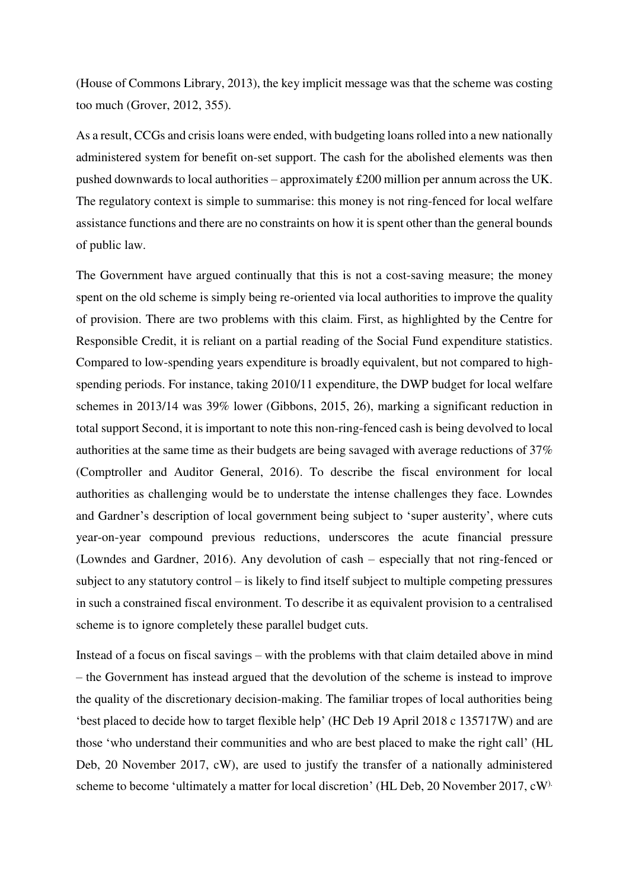(House of Commons Library, 2013), the key implicit message was that the scheme was costing too much (Grover, 2012, 355).

As a result, CCGs and crisis loans were ended, with budgeting loans rolled into a new nationally administered system for benefit on-set support. The cash for the abolished elements was then pushed downwards to local authorities – approximately £200 million per annum across the UK. The regulatory context is simple to summarise: this money is not ring-fenced for local welfare assistance functions and there are no constraints on how it is spent other than the general bounds of public law.

The Government have argued continually that this is not a cost-saving measure; the money spent on the old scheme is simply being re-oriented via local authorities to improve the quality of provision. There are two problems with this claim. First, as highlighted by the Centre for Responsible Credit, it is reliant on a partial reading of the Social Fund expenditure statistics. Compared to low-spending years expenditure is broadly equivalent, but not compared to highspending periods. For instance, taking 2010/11 expenditure, the DWP budget for local welfare schemes in 2013/14 was 39% lower (Gibbons, 2015, 26), marking a significant reduction in total support Second, it is important to note this non-ring-fenced cash is being devolved to local authorities at the same time as their budgets are being savaged with average reductions of 37% (Comptroller and Auditor General, 2016). To describe the fiscal environment for local authorities as challenging would be to understate the intense challenges they face. Lowndes and Gardner's description of local government being subject to 'super austerity', where cuts year-on-year compound previous reductions, underscores the acute financial pressure (Lowndes and Gardner, 2016). Any devolution of cash – especially that not ring-fenced or subject to any statutory control – is likely to find itself subject to multiple competing pressures in such a constrained fiscal environment. To describe it as equivalent provision to a centralised scheme is to ignore completely these parallel budget cuts.

Instead of a focus on fiscal savings – with the problems with that claim detailed above in mind – the Government has instead argued that the devolution of the scheme is instead to improve the quality of the discretionary decision-making. The familiar tropes of local authorities being 'best placed to decide how to target flexible help' (HC Deb 19 April 2018 c 135717W) and are those 'who understand their communities and who are best placed to make the right call' (HL Deb, 20 November 2017, cW), are used to justify the transfer of a nationally administered scheme to become 'ultimately a matter for local discretion' (HL Deb, 20 November 2017, cW).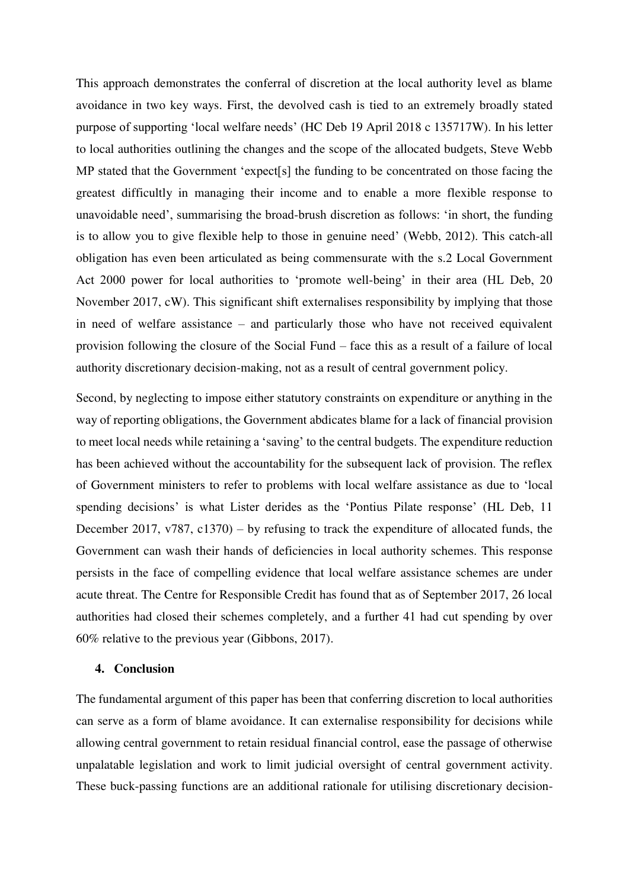This approach demonstrates the conferral of discretion at the local authority level as blame avoidance in two key ways. First, the devolved cash is tied to an extremely broadly stated purpose of supporting 'local welfare needs' (HC Deb 19 April 2018 c 135717W). In his letter to local authorities outlining the changes and the scope of the allocated budgets, Steve Webb MP stated that the Government 'expect[s] the funding to be concentrated on those facing the greatest difficultly in managing their income and to enable a more flexible response to unavoidable need', summarising the broad-brush discretion as follows: 'in short, the funding is to allow you to give flexible help to those in genuine need' (Webb, 2012). This catch-all obligation has even been articulated as being commensurate with the s.2 Local Government Act 2000 power for local authorities to 'promote well-being' in their area (HL Deb, 20 November 2017, cW). This significant shift externalises responsibility by implying that those in need of welfare assistance – and particularly those who have not received equivalent provision following the closure of the Social Fund – face this as a result of a failure of local authority discretionary decision-making, not as a result of central government policy.

Second, by neglecting to impose either statutory constraints on expenditure or anything in the way of reporting obligations, the Government abdicates blame for a lack of financial provision to meet local needs while retaining a 'saving' to the central budgets. The expenditure reduction has been achieved without the accountability for the subsequent lack of provision. The reflex of Government ministers to refer to problems with local welfare assistance as due to 'local spending decisions' is what Lister derides as the 'Pontius Pilate response' (HL Deb, 11 December 2017, v787, c1370) – by refusing to track the expenditure of allocated funds, the Government can wash their hands of deficiencies in local authority schemes. This response persists in the face of compelling evidence that local welfare assistance schemes are under acute threat. The Centre for Responsible Credit has found that as of September 2017, 26 local authorities had closed their schemes completely, and a further 41 had cut spending by over 60% relative to the previous year (Gibbons, 2017).

# **4. Conclusion**

The fundamental argument of this paper has been that conferring discretion to local authorities can serve as a form of blame avoidance. It can externalise responsibility for decisions while allowing central government to retain residual financial control, ease the passage of otherwise unpalatable legislation and work to limit judicial oversight of central government activity. These buck-passing functions are an additional rationale for utilising discretionary decision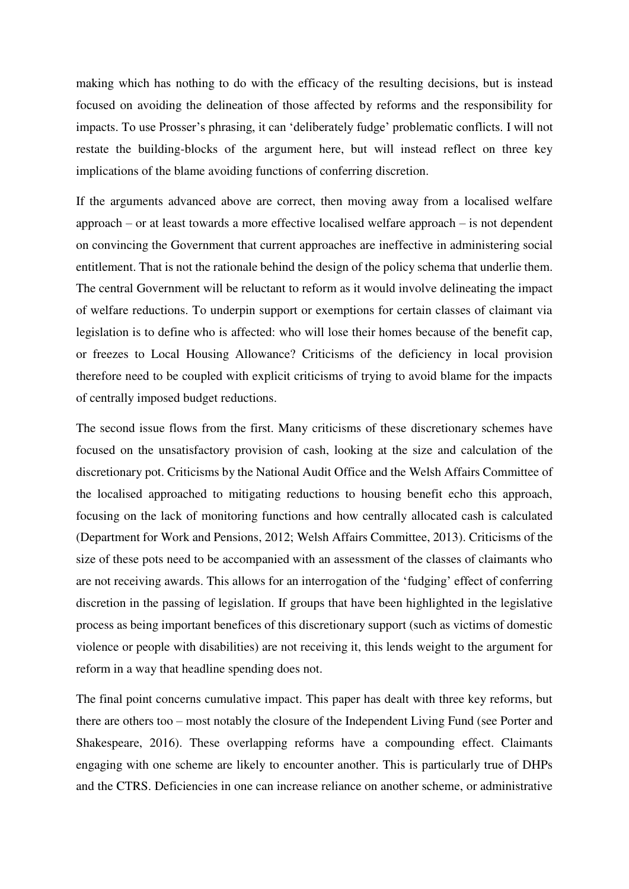making which has nothing to do with the efficacy of the resulting decisions, but is instead focused on avoiding the delineation of those affected by reforms and the responsibility for impacts. To use Prosser's phrasing, it can 'deliberately fudge' problematic conflicts. I will not restate the building-blocks of the argument here, but will instead reflect on three key implications of the blame avoiding functions of conferring discretion.

If the arguments advanced above are correct, then moving away from a localised welfare approach – or at least towards a more effective localised welfare approach – is not dependent on convincing the Government that current approaches are ineffective in administering social entitlement. That is not the rationale behind the design of the policy schema that underlie them. The central Government will be reluctant to reform as it would involve delineating the impact of welfare reductions. To underpin support or exemptions for certain classes of claimant via legislation is to define who is affected: who will lose their homes because of the benefit cap, or freezes to Local Housing Allowance? Criticisms of the deficiency in local provision therefore need to be coupled with explicit criticisms of trying to avoid blame for the impacts of centrally imposed budget reductions.

The second issue flows from the first. Many criticisms of these discretionary schemes have focused on the unsatisfactory provision of cash, looking at the size and calculation of the discretionary pot. Criticisms by the National Audit Office and the Welsh Affairs Committee of the localised approached to mitigating reductions to housing benefit echo this approach, focusing on the lack of monitoring functions and how centrally allocated cash is calculated (Department for Work and Pensions, 2012; Welsh Affairs Committee, 2013). Criticisms of the size of these pots need to be accompanied with an assessment of the classes of claimants who are not receiving awards. This allows for an interrogation of the 'fudging' effect of conferring discretion in the passing of legislation. If groups that have been highlighted in the legislative process as being important benefices of this discretionary support (such as victims of domestic violence or people with disabilities) are not receiving it, this lends weight to the argument for reform in a way that headline spending does not.

The final point concerns cumulative impact. This paper has dealt with three key reforms, but there are others too – most notably the closure of the Independent Living Fund (see Porter and Shakespeare, 2016). These overlapping reforms have a compounding effect. Claimants engaging with one scheme are likely to encounter another. This is particularly true of DHPs and the CTRS. Deficiencies in one can increase reliance on another scheme, or administrative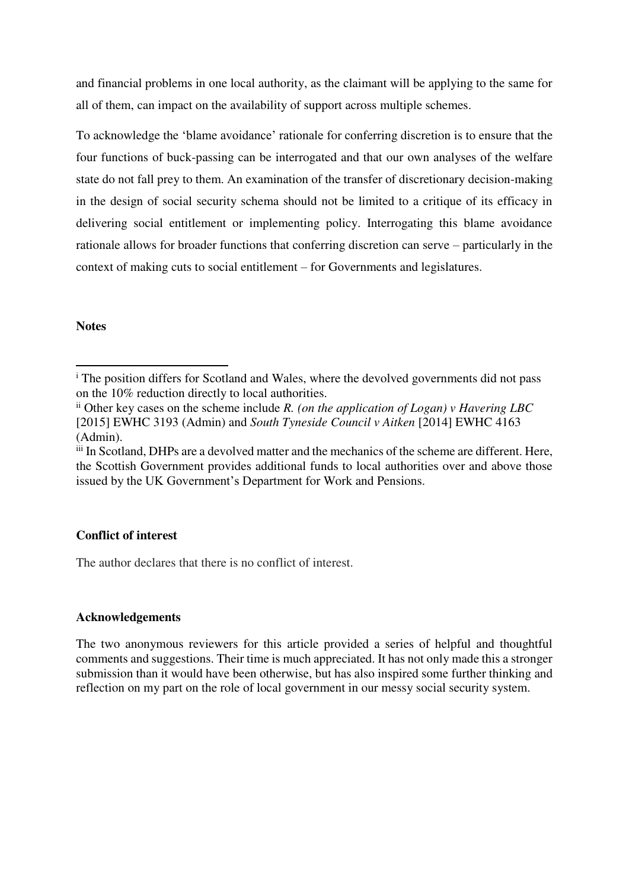and financial problems in one local authority, as the claimant will be applying to the same for all of them, can impact on the availability of support across multiple schemes.

To acknowledge the 'blame avoidance' rationale for conferring discretion is to ensure that the four functions of buck-passing can be interrogated and that our own analyses of the welfare state do not fall prey to them. An examination of the transfer of discretionary decision-making in the design of social security schema should not be limited to a critique of its efficacy in delivering social entitlement or implementing policy. Interrogating this blame avoidance rationale allows for broader functions that conferring discretion can serve – particularly in the context of making cuts to social entitlement – for Governments and legislatures.

# **Notes**

 $\overline{a}$ 

# **Conflict of interest**

The author declares that there is no conflict of interest.

#### **Acknowledgements**

The two anonymous reviewers for this article provided a series of helpful and thoughtful comments and suggestions. Their time is much appreciated. It has not only made this a stronger submission than it would have been otherwise, but has also inspired some further thinking and reflection on my part on the role of local government in our messy social security system.

<sup>&</sup>lt;sup>i</sup> The position differs for Scotland and Wales, where the devolved governments did not pass on the 10% reduction directly to local authorities.

ii Other key cases on the scheme include *R. (on the application of Logan) v Havering LBC*  [2015] EWHC 3193 (Admin) and *South Tyneside Council v Aitken* [2014] EWHC 4163 (Admin).

iii In Scotland, DHPs are a devolved matter and the mechanics of the scheme are different. Here, the Scottish Government provides additional funds to local authorities over and above those issued by the UK Government's Department for Work and Pensions.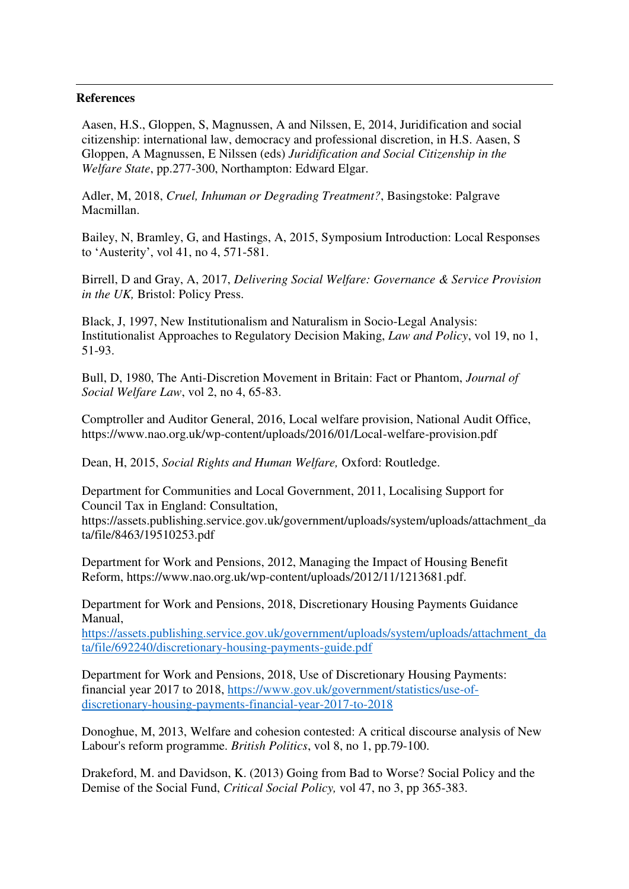# **References**

 $\overline{a}$ 

Aasen, H.S., Gloppen, S, Magnussen, A and Nilssen, E, 2014, Juridification and social citizenship: international law, democracy and professional discretion, in H.S. Aasen, S Gloppen, A Magnussen, E Nilssen (eds) *Juridification and Social Citizenship in the Welfare State*, pp.277-300, Northampton: Edward Elgar.

Adler, M, 2018, *Cruel, Inhuman or Degrading Treatment?*, Basingstoke: Palgrave Macmillan.

Bailey, N, Bramley, G, and Hastings, A, 2015, Symposium Introduction: Local Responses to 'Austerity', vol 41, no 4, 571-581.

Birrell, D and Gray, A, 2017, *Delivering Social Welfare: Governance & Service Provision in the UK,* Bristol: Policy Press.

Black, J, 1997, New Institutionalism and Naturalism in Socio-Legal Analysis: Institutionalist Approaches to Regulatory Decision Making, *Law and Policy*, vol 19, no 1, 51-93.

Bull, D, 1980, The Anti-Discretion Movement in Britain: Fact or Phantom, *Journal of Social Welfare Law*, vol 2, no 4, 65-83.

Comptroller and Auditor General, 2016, Local welfare provision, National Audit Office, https://www.nao.org.uk/wp-content/uploads/2016/01/Local-welfare-provision.pdf

Dean, H, 2015, *Social Rights and Human Welfare,* Oxford: Routledge.

Department for Communities and Local Government, 2011, Localising Support for Council Tax in England: Consultation,

https://assets.publishing.service.gov.uk/government/uploads/system/uploads/attachment\_da ta/file/8463/19510253.pdf

Department for Work and Pensions, 2012, Managing the Impact of Housing Benefit Reform, https://www.nao.org.uk/wp-content/uploads/2012/11/1213681.pdf.

Department for Work and Pensions, 2018, Discretionary Housing Payments Guidance Manual,

[https://assets.publishing.service.gov.uk/government/uploads/system/uploads/attachment\\_da](https://assets.publishing.service.gov.uk/government/uploads/system/uploads/attachment_data/file/692240/discretionary-housing-payments-guide.pdf) [ta/file/692240/discretionary-housing-payments-guide.pdf](https://assets.publishing.service.gov.uk/government/uploads/system/uploads/attachment_data/file/692240/discretionary-housing-payments-guide.pdf)

Department for Work and Pensions, 2018, Use of Discretionary Housing Payments: financial year 2017 to 2018, [https://www.gov.uk/government/statistics/use-of](https://www.gov.uk/government/statistics/use-of-discretionary-housing-payments-financial-year-2017-to-2018)[discretionary-housing-payments-financial-year-2017-to-2018](https://www.gov.uk/government/statistics/use-of-discretionary-housing-payments-financial-year-2017-to-2018) 

Donoghue, M, 2013, Welfare and cohesion contested: A critical discourse analysis of New Labour's reform programme. *British Politics*, vol 8, no 1, pp.79-100.

Drakeford, M. and Davidson, K. (2013) Going from Bad to Worse? Social Policy and the Demise of the Social Fund, *Critical Social Policy,* vol 47, no 3, pp 365-383.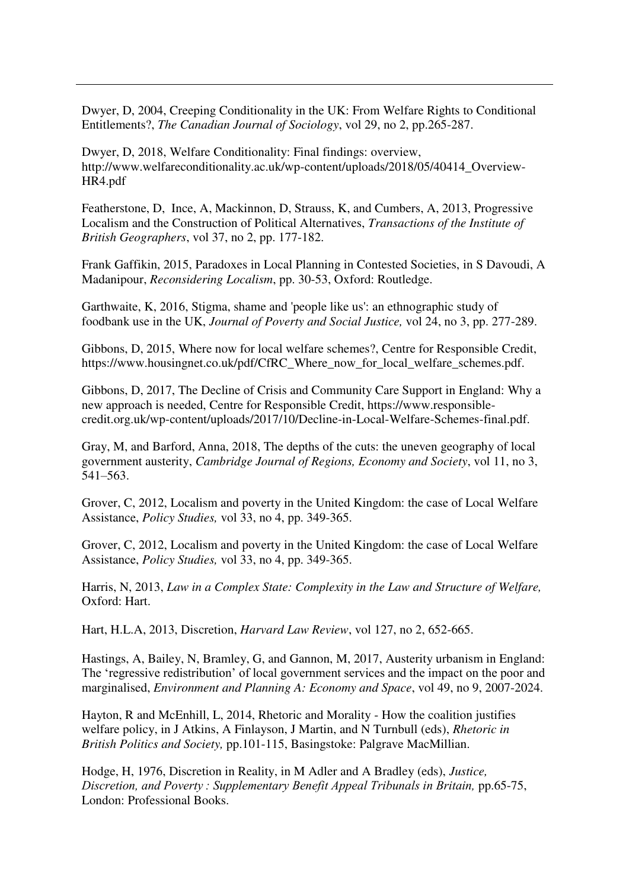Dwyer, D, 2004, Creeping Conditionality in the UK: From Welfare Rights to Conditional Entitlements?, *The Canadian Journal of Sociology*, vol 29, no 2, pp.265-287.

 $\overline{a}$ 

Dwyer, D, 2018, Welfare Conditionality: Final findings: overview, http://www.welfareconditionality.ac.uk/wp-content/uploads/2018/05/40414\_Overview-HR4.pdf

Featherstone, D, Ince, A, Mackinnon, D, Strauss, K, and Cumbers, A, 2013, Progressive Localism and the Construction of Political Alternatives, *Transactions of the Institute of British Geographers*, vol 37, no 2, pp. 177-182.

Frank Gaffikin, 2015, Paradoxes in Local Planning in Contested Societies, in S Davoudi, A Madanipour, *Reconsidering Localism*, pp. 30-53, Oxford: Routledge.

Garthwaite, K, 2016, Stigma, shame and 'people like us': an ethnographic study of foodbank use in the UK, *Journal of Poverty and Social Justice,* vol 24, no 3, pp. 277-289.

Gibbons, D, 2015, Where now for local welfare schemes?, Centre for Responsible Credit, https://www.housingnet.co.uk/pdf/CfRC\_Where\_now\_for\_local\_welfare\_schemes.pdf.

Gibbons, D, 2017, The Decline of Crisis and Community Care Support in England: Why a new approach is needed, Centre for Responsible Credit, https://www.responsiblecredit.org.uk/wp-content/uploads/2017/10/Decline-in-Local-Welfare-Schemes-final.pdf.

Gray, M, and Barford, Anna, 2018, The depths of the cuts: the uneven geography of local government austerity, *Cambridge Journal of Regions, Economy and Society*, vol 11, no 3, 541–563.

Grover, C, 2012, Localism and poverty in the United Kingdom: the case of Local Welfare Assistance, *Policy Studies,* vol 33, no 4, pp. 349-365.

Grover, C, 2012, Localism and poverty in the United Kingdom: the case of Local Welfare Assistance, *Policy Studies,* vol 33, no 4, pp. 349-365.

Harris, N, 2013, *Law in a Complex State: Complexity in the Law and Structure of Welfare,*  Oxford: Hart.

Hart, H.L.A, 2013, Discretion, *Harvard Law Review*, vol 127, no 2, 652-665.

Hastings, A, Bailey, N, Bramley, G, and Gannon, M, 2017, Austerity urbanism in England: The 'regressive redistribution' of local government services and the impact on the poor and marginalised, *Environment and Planning A: Economy and Space*, vol 49, no 9, 2007-2024.

Hayton, R and McEnhill, L, 2014, Rhetoric and Morality - How the coalition justifies welfare policy, in J Atkins, A Finlayson, J Martin, and N Turnbull (eds), *Rhetoric in British Politics and Society,* pp.101-115, Basingstoke: Palgrave MacMillian.

Hodge, H, 1976, Discretion in Reality, in M Adler and A Bradley (eds), *Justice, Discretion, and Poverty* : Supplementary Benefit Appeal Tribunals in Britain, pp.65-75, London: Professional Books.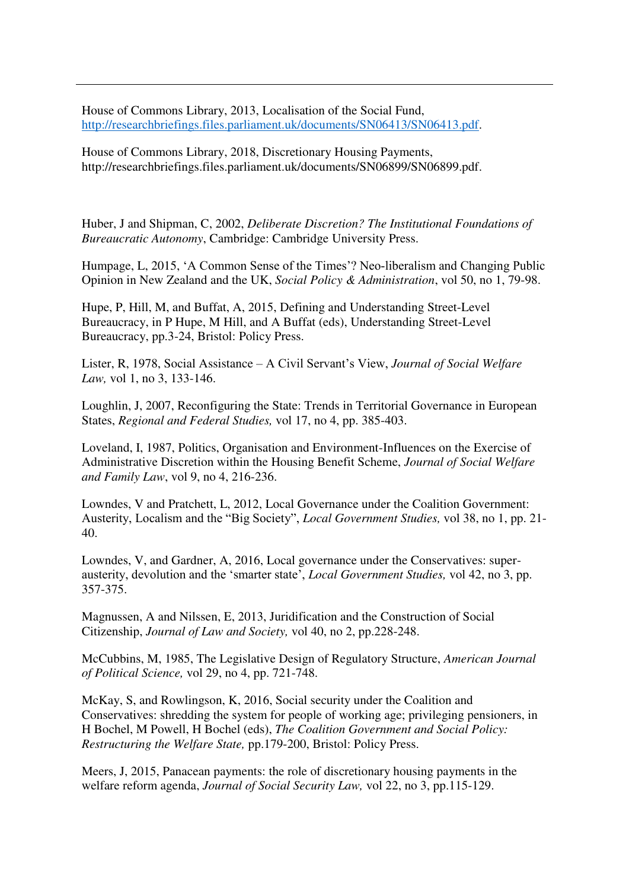House of Commons Library, 2013, Localisation of the Social Fund, [http://researchbriefings.files.parliament.uk/documents/SN06413/SN06413.pdf.](http://researchbriefings.files.parliament.uk/documents/SN06413/SN06413.pdf)

 $\overline{a}$ 

House of Commons Library, 2018, Discretionary Housing Payments, http://researchbriefings.files.parliament.uk/documents/SN06899/SN06899.pdf.

Huber, J and Shipman, C, 2002, *Deliberate Discretion? The Institutional Foundations of Bureaucratic Autonomy*, Cambridge: Cambridge University Press.

Humpage, L, 2015, 'A Common Sense of the Times'? Neo-liberalism and Changing Public Opinion in New Zealand and the UK, *Social Policy & Administration*, vol 50, no 1, 79-98.

Hupe, P, Hill, M, and Buffat, A, 2015, Defining and Understanding Street-Level Bureaucracy, in P Hupe, M Hill, and A Buffat (eds), Understanding Street-Level Bureaucracy, pp.3-24, Bristol: Policy Press.

Lister, R, 1978, Social Assistance – A Civil Servant's View, *Journal of Social Welfare Law,* vol 1, no 3, 133-146.

Loughlin, J, 2007, Reconfiguring the State: Trends in Territorial Governance in European States, *Regional and Federal Studies,* vol 17, no 4, pp. 385-403.

Loveland, I, 1987, Politics, Organisation and Environment-Influences on the Exercise of Administrative Discretion within the Housing Benefit Scheme, *Journal of Social Welfare and Family Law*, vol 9, no 4, 216-236.

Lowndes, V and Pratchett, L, 2012, Local Governance under the Coalition Government: Austerity, Localism and the "Big Society", *Local Government Studies,* vol 38, no 1, pp. 21- 40.

Lowndes, V, and Gardner, A, 2016, Local governance under the Conservatives: superausterity, devolution and the 'smarter state', *Local Government Studies,* vol 42, no 3, pp. 357-375.

Magnussen, A and Nilssen, E, 2013, Juridification and the Construction of Social Citizenship, *Journal of Law and Society,* vol 40, no 2, pp.228-248.

McCubbins, M, 1985, The Legislative Design of Regulatory Structure, *American Journal of Political Science,* vol 29, no 4, pp. 721-748.

McKay, S, and Rowlingson, K, 2016, Social security under the Coalition and Conservatives: shredding the system for people of working age; privileging pensioners, in H Bochel, M Powell, H Bochel (eds), *The Coalition Government and Social Policy: Restructuring the Welfare State,* pp.179-200, Bristol: Policy Press.

Meers, J, 2015, Panacean payments: the role of discretionary housing payments in the welfare reform agenda, *Journal of Social Security Law,* vol 22, no 3, pp.115-129.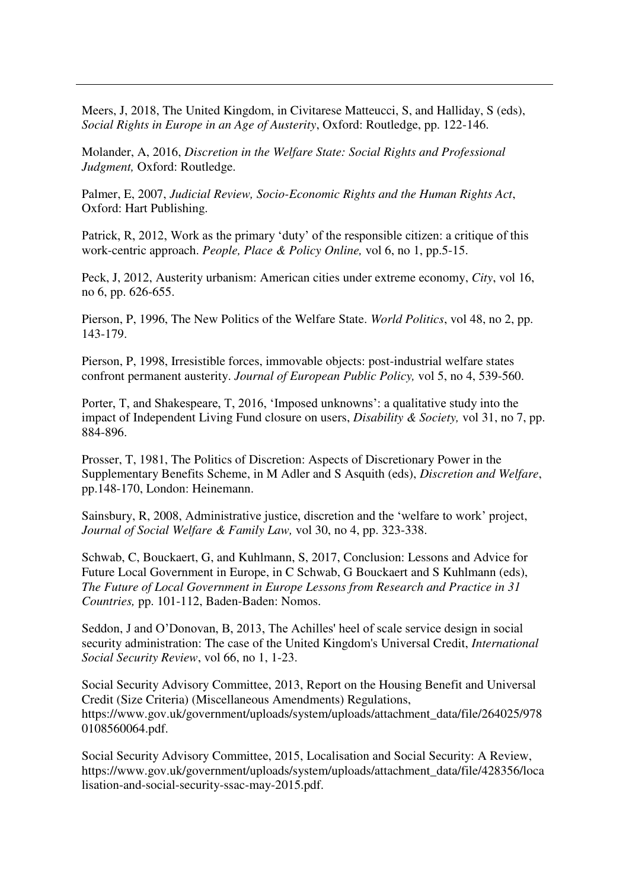Meers, J, 2018, The United Kingdom, in Civitarese Matteucci, S, and Halliday, S (eds), *Social Rights in Europe in an Age of Austerity*, Oxford: Routledge, pp. 122-146.

Molander, A, 2016, *Discretion in the Welfare State: Social Rights and Professional Judgment,* Oxford: Routledge.

 $\overline{a}$ 

Palmer, E, 2007, *Judicial Review, Socio-Economic Rights and the Human Rights Act*, Oxford: Hart Publishing.

Patrick, R, 2012, Work as the primary 'duty' of the responsible citizen: a critique of this work-centric approach. *People, Place & Policy Online,* vol 6, no 1, pp.5-15.

Peck, J, 2012, Austerity urbanism: American cities under extreme economy, *City*, vol 16, no 6, pp. 626-655.

Pierson, P, 1996, The New Politics of the Welfare State. *World Politics*, vol 48, no 2, pp. 143-179.

Pierson, P, 1998, Irresistible forces, immovable objects: post-industrial welfare states confront permanent austerity. *Journal of European Public Policy,* vol 5, no 4, 539-560.

Porter, T, and Shakespeare, T, 2016, 'Imposed unknowns': a qualitative study into the impact of Independent Living Fund closure on users, *Disability & Society,* vol 31, no 7, pp. 884-896.

Prosser, T, 1981, The Politics of Discretion: Aspects of Discretionary Power in the Supplementary Benefits Scheme, in M Adler and S Asquith (eds), *Discretion and Welfare*, pp.148-170, London: Heinemann.

Sainsbury, R, 2008, Administrative justice, discretion and the 'welfare to work' project, *Journal of Social Welfare & Family Law,* vol 30, no 4, pp. 323-338.

Schwab, C, Bouckaert, G, and Kuhlmann, S, 2017, Conclusion: Lessons and Advice for Future Local Government in Europe, in C Schwab, G Bouckaert and S Kuhlmann (eds), *The Future of Local Government in Europe Lessons from Research and Practice in 31 Countries,* pp. 101-112, Baden-Baden: Nomos.

Seddon, J and O'Donovan, B, 2013, The Achilles' heel of scale service design in social security administration: The case of the United Kingdom's Universal Credit, *International Social Security Review*, vol 66, no 1, 1-23.

Social Security Advisory Committee, 2013, Report on the Housing Benefit and Universal Credit (Size Criteria) (Miscellaneous Amendments) Regulations, https://www.gov.uk/government/uploads/system/uploads/attachment\_data/file/264025/978 0108560064.pdf.

Social Security Advisory Committee, 2015, Localisation and Social Security: A Review, https://www.gov.uk/government/uploads/system/uploads/attachment\_data/file/428356/loca lisation-and-social-security-ssac-may-2015.pdf.